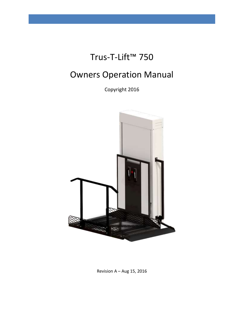# Trus-T-Lift™ 750

# Owners Operation Manual

Copyright 2016



Revision A – Aug 15, 2016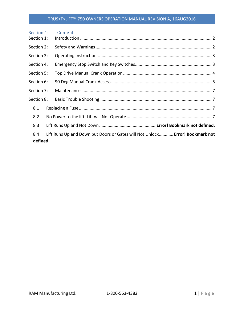#### TRUS<T>LIFT™ 750 OWNERS OPERATION MANUAL REVISION A, 16AUG2016

| Section 1: | Contents                                                                     |
|------------|------------------------------------------------------------------------------|
| Section 1: |                                                                              |
| Section 2: |                                                                              |
| Section 3: |                                                                              |
| Section 4: |                                                                              |
| Section 5: |                                                                              |
| Section 6: |                                                                              |
| Section 7: |                                                                              |
| Section 8: |                                                                              |
| 8.1        |                                                                              |
| 8.2        |                                                                              |
| 8.3        |                                                                              |
| 8.4        | Lift Runs Up and Down but Doors or Gates will Not Unlock Error! Bookmark not |
| defined.   |                                                                              |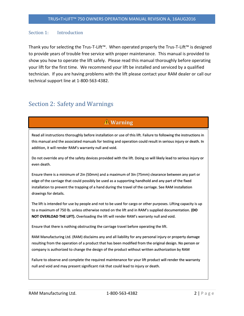#### <span id="page-2-0"></span>Section 1: Introduction

Thank you for selecting the Trus-T-Lift™. When operated properly the Trus-T-Lift™ is designed to provide years of trouble free service with proper maintenance. This manual is provided to show you how to operate the lift safely. Please read this manual thoroughly before operating your lift for the first time. We recommend your lift be installed and serviced by a qualified technician. If you are having problems with the lift please contact your RAM dealer or call our technical support line at 1-800-563-4382.

## <span id="page-2-1"></span>Section 2: Safety and Warnings

## **Warning**

Read all instructions thoroughly before installation or use of this lift. Failure to following the instructions in this manual and the associated manuals for testing and operation could result in serious injury or death. In addition, it will render RAM's warranty null and void.

Do not override any of the safety devices provided with the lift. Doing so will likely lead to serious injury or even death.

Ensure there is a minimum of 2in (50mm) and a maximum of 3in (75mm) clearance between any part or edge of the carriage that could possibly be used as a supporting handhold and any part of the fixed installation to prevent the trapping of a hand during the travel of the carriage. See RAM installation drawings for details.

The lift is intended for use by people and not to be used for cargo or other purposes. Lifting capacity is up to a maximum of 750 lb. unless otherwise noted on the lift and in RAM's supplied documentation. **(DO NOT OVERLOAD THE LIFT).** Overloading the lift will render RAM's warranty null and void.

Ensure that there is nothing obstructing the carriage travel before operating the lift.

RAM Manufacturing Ltd. (RAM) disclaims any and all liability for any personal injury or property damage resulting from the operation of a product that has been modified from the original design. No person or company is authorized to change the design of the product without written authorization by RAM

Failure to observe and complete the required maintenance for your lift product will render the warranty null and void and may present significant risk that could lead to injury or death.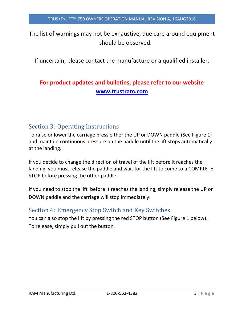The list of warnings may not be exhaustive, due care around equipment should be observed.

If uncertain, please contact the manufacture or a qualified installer.

# **For product updates and bulletins, please refer to our website [www.trustram.com](http://www.trustram.com/)**

# <span id="page-3-0"></span>Section 3: Operating Instructions

To raise or lower the carriage press either the UP or DOWN paddle (See Figure 1) and maintain continuous pressure on the paddle until the lift stops automatically at the landing.

If you decide to change the direction of travel of the lift before it reaches the landing, you must release the paddle and wait for the lift to come to a COMPLETE STOP before pressing the other paddle.

If you need to stop the lift before it reaches the landing, simply release the UP or DOWN paddle and the carriage will stop immediately.

# <span id="page-3-1"></span>Section 4: Emergency Stop Switch and Key Switches

You can also stop the lift by pressing the red STOP button (See Figure 1 below). To release, simply pull out the button.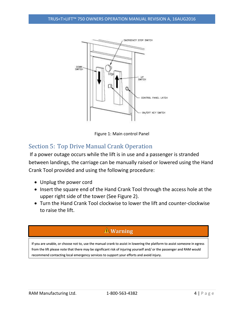

Figure 1: Main control Panel

# <span id="page-4-0"></span>Section 5: Top Drive Manual Crank Operation

If a power outage occurs while the lift is in use and a passenger is stranded between landings, the carriage can be manually raised or lowered using the Hand Crank Tool provided and using the following procedure:

- Unplug the power cord
- Insert the square end of the Hand Crank Tool through the access hole at the upper right side of the tower (See Figure 2).
- Turn the Hand Crank Tool clockwise to lower the lift and counter-clockwise to raise the lift.

# **Warning**

If you are unable, or choose not to, use the manual crank to assist in lowering the platform to assist someone in egress from the lift please note that there may be significant risk of injuring yourself and/ or the passenger and RAM would recommend contacting local emergency services to support your efforts and avoid injury.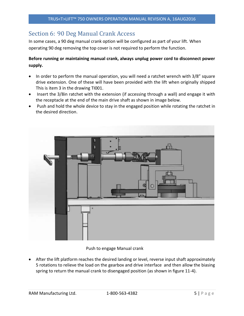# <span id="page-5-0"></span>Section 6: 90 Deg Manual Crank Access

In some cases, a 90 deg manual crank option will be configured as part of your lift. When operating 90 deg removing the top cover is not required to perform the function.

#### **Before running or maintaining manual crank, always unplug power cord to disconnect power supply.**

- In order to perform the manual operation, you will need a ratchet wrench with 3/8" square drive extension. One of these will have been provided with the lift when originally shipped This is item 3 in the drawing TI001.
- Insert the 3/8in ratchet with the extension (if accessing through a wall) and engage it with the receptacle at the end of the main drive shaft as shown in image below.
- Push and hold the whole device to stay in the engaged position while rotating the ratchet in the desired direction.



#### Push to engage Manual crank

 After the lift platform reaches the desired landing or level, reverse input shaft approximately 5 rotations to relieve the load on the gearbox and drive interface and then allow the biasing spring to return the manual crank to disengaged position (as shown in figure 11-4).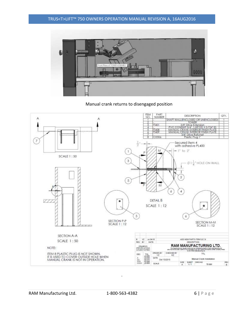#### TRUS<T>LIFT™ 750 OWNERS OPERATION MANUAL REVISION A, 16AUG2016



#### Manual crank returns to disengaged position



.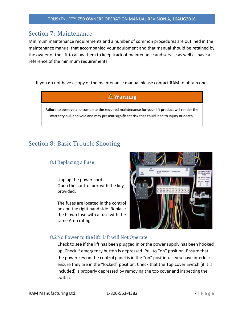## <span id="page-7-0"></span>Section 7: Maintenance

Minimum maintenance requirements and a number of common procedures are outlined in the maintenance manual that accompanied your equipment and that manual should be retained by the owner of the lift to allow them to keep track of maintenance and service as well as have a reference of the minimum requirements.

If you do not have a copy of the maintenance manual please contact RAM to obtain one.



# <span id="page-7-2"></span><span id="page-7-1"></span>Section 8: Basic Trouble Shooting

#### 8.1Replacing a Fuse

Unplug the power cord. Open the control box with the key provided.

The fuses are located in the control box on the right hand side. Replace the blown fuse with a fuse with the same Amp rating.



#### <span id="page-7-3"></span>8.2No Power to the lift. Lift will Not Operate

Check to see if the lift has been plugged in or the power supply has been hooked up. Check if emergency button is depressed. Pull to "on" position. Ensure that the power key on the control panel is in the "on" position. If you have interlocks ensure they are in the "locked" position. Check that the Top cover Switch (if it is included) is properly depressed by removing the top cover and inspecting the switch.